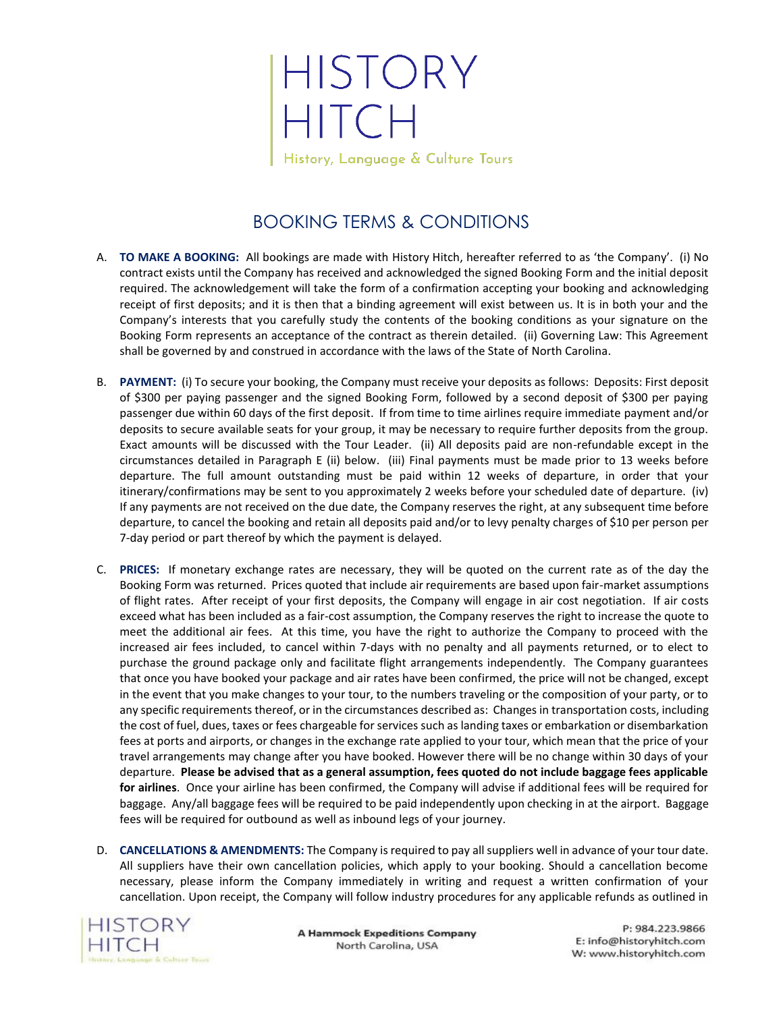## HISTORY<br>HITCH History, Language & Culture Tours

BOOKING TERMS & CONDITIONS

- A. **TO MAKE A BOOKING:** All bookings are made with History Hitch, hereafter referred to as 'the Company'. (i) No contract exists until the Company has received and acknowledged the signed Booking Form and the initial deposit required. The acknowledgement will take the form of a confirmation accepting your booking and acknowledging receipt of first deposits; and it is then that a binding agreement will exist between us. It is in both your and the Company's interests that you carefully study the contents of the booking conditions as your signature on the Booking Form represents an acceptance of the contract as therein detailed. (ii) Governing Law: This Agreement shall be governed by and construed in accordance with the laws of the State of North Carolina.
- B. PAYMENT: (i) To secure your booking, the Company must receive your deposits as follows: Deposits: First deposit of \$300 per paying passenger and the signed Booking Form, followed by a second deposit of \$300 per paying passenger due within 60 days of the first deposit. If from time to time airlines require immediate payment and/or deposits to secure available seats for your group, it may be necessary to require further deposits from the group. Exact amounts will be discussed with the Tour Leader. (ii) All deposits paid are non-refundable except in the circumstances detailed in Paragraph E (ii) below. (iii) Final payments must be made prior to 13 weeks before departure. The full amount outstanding must be paid within 12 weeks of departure, in order that your itinerary/confirmations may be sent to you approximately 2 weeks before your scheduled date of departure. (iv) If any payments are not received on the due date, the Company reserves the right, at any subsequent time before departure, to cancel the booking and retain all deposits paid and/or to levy penalty charges of \$10 per person per 7-day period or part thereof by which the payment is delayed.
- C. **PRICES:** If monetary exchange rates are necessary, they will be quoted on the current rate as of the day the Booking Form was returned. Prices quoted that include air requirements are based upon fair-market assumptions of flight rates. After receipt of your first deposits, the Company will engage in air cost negotiation. If air costs exceed what has been included as a fair-cost assumption, the Company reserves the right to increase the quote to meet the additional air fees. At this time, you have the right to authorize the Company to proceed with the increased air fees included, to cancel within 7-days with no penalty and all payments returned, or to elect to purchase the ground package only and facilitate flight arrangements independently. The Company guarantees that once you have booked your package and air rates have been confirmed, the price will not be changed, except in the event that you make changes to your tour, to the numbers traveling or the composition of your party, or to any specific requirements thereof, or in the circumstances described as: Changes in transportation costs, including the cost of fuel, dues, taxes or fees chargeable for services such as landing taxes or embarkation or disembarkation fees at ports and airports, or changes in the exchange rate applied to your tour, which mean that the price of your travel arrangements may change after you have booked. However there will be no change within 30 days of your departure. **Please be advised that as a general assumption, fees quoted do not include baggage fees applicable for airlines**. Once your airline has been confirmed, the Company will advise if additional fees will be required for baggage. Any/all baggage fees will be required to be paid independently upon checking in at the airport. Baggage fees will be required for outbound as well as inbound legs of your journey.
- D. **CANCELLATIONS & AMENDMENTS:** The Company is required to pay all suppliers well in advance of your tour date. All suppliers have their own cancellation policies, which apply to your booking. Should a cancellation become necessary, please inform the Company immediately in writing and request a written confirmation of your cancellation. Upon receipt, the Company will follow industry procedures for any applicable refunds as outlined in



**A Hammock Expeditions Company** North Carolina, USA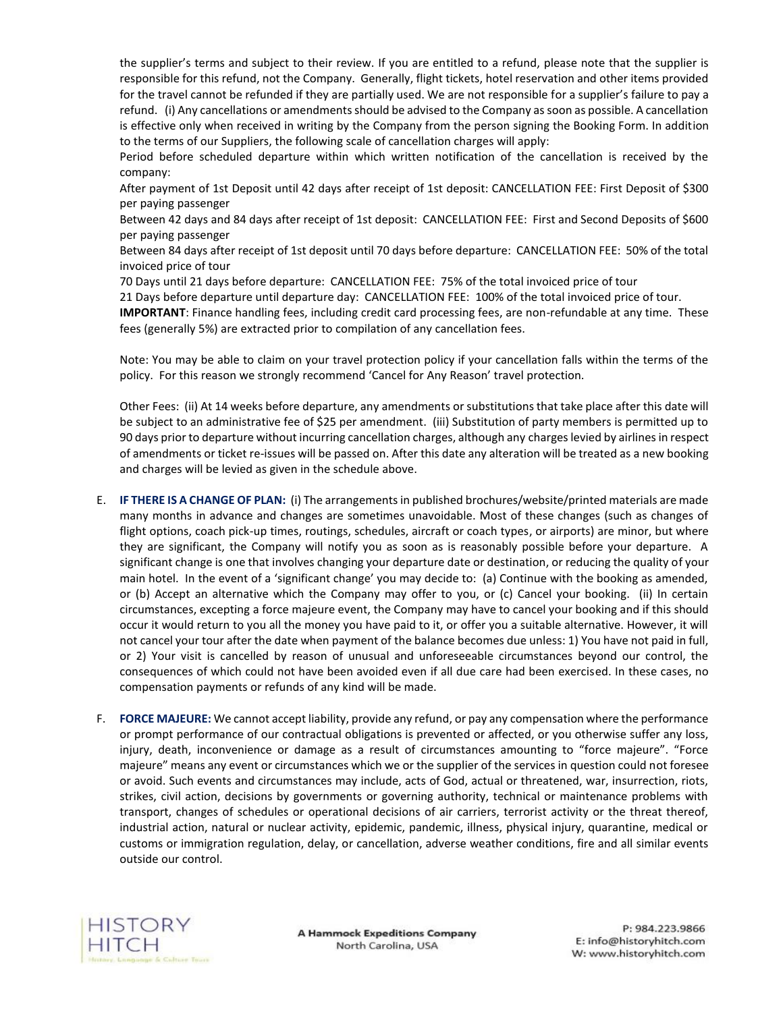the supplier's terms and subject to their review. If you are entitled to a refund, please note that the supplier is responsible for this refund, not the Company. Generally, flight tickets, hotel reservation and other items provided for the travel cannot be refunded if they are partially used. We are not responsible for a supplier's failure to pay a refund. (i) Any cancellations or amendments should be advised to the Company as soon as possible. A cancellation is effective only when received in writing by the Company from the person signing the Booking Form. In addition to the terms of our Suppliers, the following scale of cancellation charges will apply:

Period before scheduled departure within which written notification of the cancellation is received by the company:

After payment of 1st Deposit until 42 days after receipt of 1st deposit: CANCELLATION FEE: First Deposit of \$300 per paying passenger

Between 42 days and 84 days after receipt of 1st deposit: CANCELLATION FEE: First and Second Deposits of \$600 per paying passenger

Between 84 days after receipt of 1st deposit until 70 days before departure: CANCELLATION FEE: 50% of the total invoiced price of tour

70 Days until 21 days before departure: CANCELLATION FEE: 75% of the total invoiced price of tour

21 Days before departure until departure day: CANCELLATION FEE: 100% of the total invoiced price of tour.

**IMPORTANT**: Finance handling fees, including credit card processing fees, are non-refundable at any time. These fees (generally 5%) are extracted prior to compilation of any cancellation fees.

Note: You may be able to claim on your travel protection policy if your cancellation falls within the terms of the policy. For this reason we strongly recommend 'Cancel for Any Reason' travel protection.

Other Fees: (ii) At 14 weeks before departure, any amendments or substitutions that take place after this date will be subject to an administrative fee of \$25 per amendment. (iii) Substitution of party members is permitted up to 90 days prior to departure without incurring cancellation charges, although any charges levied by airlines in respect of amendments or ticket re-issues will be passed on. After this date any alteration will be treated as a new booking and charges will be levied as given in the schedule above.

- E. **IF THERE IS A CHANGE OF PLAN:** (i) The arrangements in published brochures/website/printed materials are made many months in advance and changes are sometimes unavoidable. Most of these changes (such as changes of flight options, coach pick-up times, routings, schedules, aircraft or coach types, or airports) are minor, but where they are significant, the Company will notify you as soon as is reasonably possible before your departure. A significant change is one that involves changing your departure date or destination, or reducing the quality of your main hotel. In the event of a 'significant change' you may decide to: (a) Continue with the booking as amended, or (b) Accept an alternative which the Company may offer to you, or (c) Cancel your booking. (ii) In certain circumstances, excepting a force majeure event, the Company may have to cancel your booking and if this should occur it would return to you all the money you have paid to it, or offer you a suitable alternative. However, it will not cancel your tour after the date when payment of the balance becomes due unless: 1) You have not paid in full, or 2) Your visit is cancelled by reason of unusual and unforeseeable circumstances beyond our control, the consequences of which could not have been avoided even if all due care had been exercised. In these cases, no compensation payments or refunds of any kind will be made.
- F. **FORCE MAJEURE:** We cannot accept liability, provide any refund, or pay any compensation where the performance or prompt performance of our contractual obligations is prevented or affected, or you otherwise suffer any loss, injury, death, inconvenience or damage as a result of circumstances amounting to "force majeure". "Force majeure" means any event or circumstances which we or the supplier of the services in question could not foresee or avoid. Such events and circumstances may include, acts of God, actual or threatened, war, insurrection, riots, strikes, civil action, decisions by governments or governing authority, technical or maintenance problems with transport, changes of schedules or operational decisions of air carriers, terrorist activity or the threat thereof, industrial action, natural or nuclear activity, epidemic, pandemic, illness, physical injury, quarantine, medical or customs or immigration regulation, delay, or cancellation, adverse weather conditions, fire and all similar events outside our control.



**A Hammock Expeditions Company** North Carolina, USA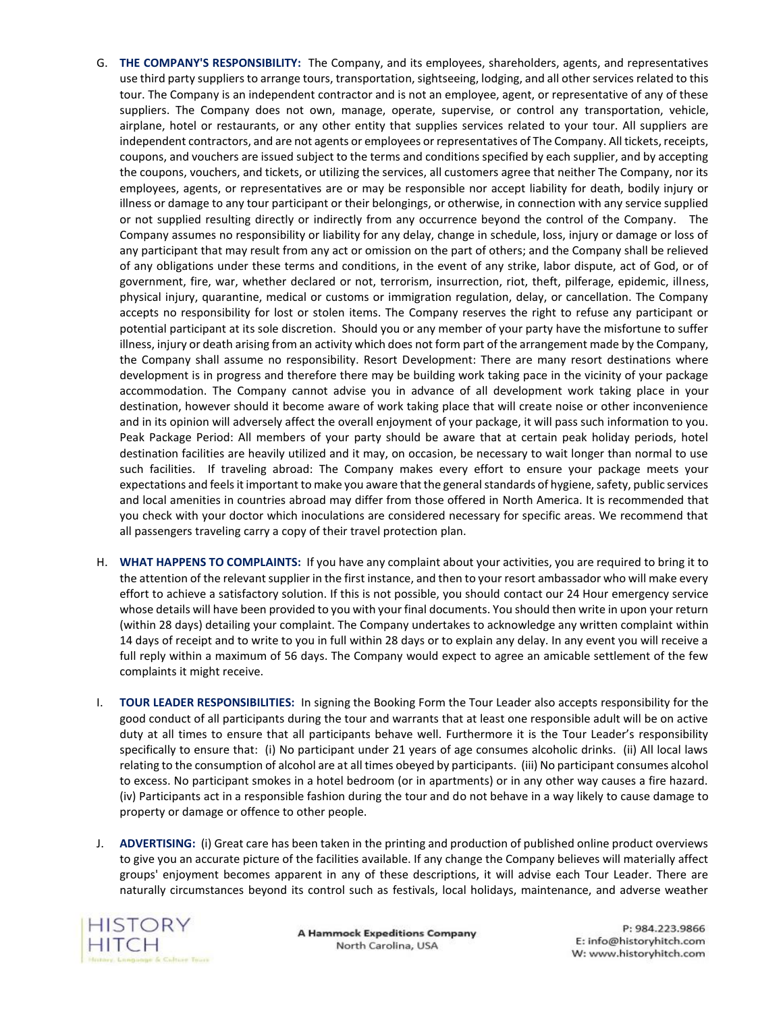- G. **THE COMPANY'S RESPONSIBILITY:** The Company, and its employees, shareholders, agents, and representatives use third party suppliers to arrange tours, transportation, sightseeing, lodging, and all other services related to this tour. The Company is an independent contractor and is not an employee, agent, or representative of any of these suppliers. The Company does not own, manage, operate, supervise, or control any transportation, vehicle, airplane, hotel or restaurants, or any other entity that supplies services related to your tour. All suppliers are independent contractors, and are not agents or employees or representatives of The Company. All tickets, receipts, coupons, and vouchers are issued subject to the terms and conditions specified by each supplier, and by accepting the coupons, vouchers, and tickets, or utilizing the services, all customers agree that neither The Company, nor its employees, agents, or representatives are or may be responsible nor accept liability for death, bodily injury or illness or damage to any tour participant or their belongings, or otherwise, in connection with any service supplied or not supplied resulting directly or indirectly from any occurrence beyond the control of the Company. The Company assumes no responsibility or liability for any delay, change in schedule, loss, injury or damage or loss of any participant that may result from any act or omission on the part of others; and the Company shall be relieved of any obligations under these terms and conditions, in the event of any strike, labor dispute, act of God, or of government, fire, war, whether declared or not, terrorism, insurrection, riot, theft, pilferage, epidemic, illness, physical injury, quarantine, medical or customs or immigration regulation, delay, or cancellation. The Company accepts no responsibility for lost or stolen items. The Company reserves the right to refuse any participant or potential participant at its sole discretion. Should you or any member of your party have the misfortune to suffer illness, injury or death arising from an activity which does not form part of the arrangement made by the Company, the Company shall assume no responsibility. Resort Development: There are many resort destinations where development is in progress and therefore there may be building work taking pace in the vicinity of your package accommodation. The Company cannot advise you in advance of all development work taking place in your destination, however should it become aware of work taking place that will create noise or other inconvenience and in its opinion will adversely affect the overall enjoyment of your package, it will pass such information to you. Peak Package Period: All members of your party should be aware that at certain peak holiday periods, hotel destination facilities are heavily utilized and it may, on occasion, be necessary to wait longer than normal to use such facilities. If traveling abroad: The Company makes every effort to ensure your package meets your expectations and feels it important to make you aware that the general standards of hygiene, safety, public services and local amenities in countries abroad may differ from those offered in North America. It is recommended that you check with your doctor which inoculations are considered necessary for specific areas. We recommend that all passengers traveling carry a copy of their travel protection plan.
- H. **WHAT HAPPENS TO COMPLAINTS:** If you have any complaint about your activities, you are required to bring it to the attention of the relevant supplier in the first instance, and then to your resort ambassador who will make every effort to achieve a satisfactory solution. If this is not possible, you should contact our 24 Hour emergency service whose details will have been provided to you with your final documents. You should then write in upon your return (within 28 days) detailing your complaint. The Company undertakes to acknowledge any written complaint within 14 days of receipt and to write to you in full within 28 days or to explain any delay. In any event you will receive a full reply within a maximum of 56 days. The Company would expect to agree an amicable settlement of the few complaints it might receive.
- I. **TOUR LEADER RESPONSIBILITIES:** In signing the Booking Form the Tour Leader also accepts responsibility for the good conduct of all participants during the tour and warrants that at least one responsible adult will be on active duty at all times to ensure that all participants behave well. Furthermore it is the Tour Leader's responsibility specifically to ensure that: (i) No participant under 21 years of age consumes alcoholic drinks. (ii) All local laws relating to the consumption of alcohol are at all times obeyed by participants. (iii) No participant consumes alcohol to excess. No participant smokes in a hotel bedroom (or in apartments) or in any other way causes a fire hazard. (iv) Participants act in a responsible fashion during the tour and do not behave in a way likely to cause damage to property or damage or offence to other people.
- J. **ADVERTISING:** (i) Great care has been taken in the printing and production of published online product overviews to give you an accurate picture of the facilities available. If any change the Company believes will materially affect groups' enjoyment becomes apparent in any of these descriptions, it will advise each Tour Leader. There are naturally circumstances beyond its control such as festivals, local holidays, maintenance, and adverse weather



**A Hammock Expeditions Company** North Carolina, USA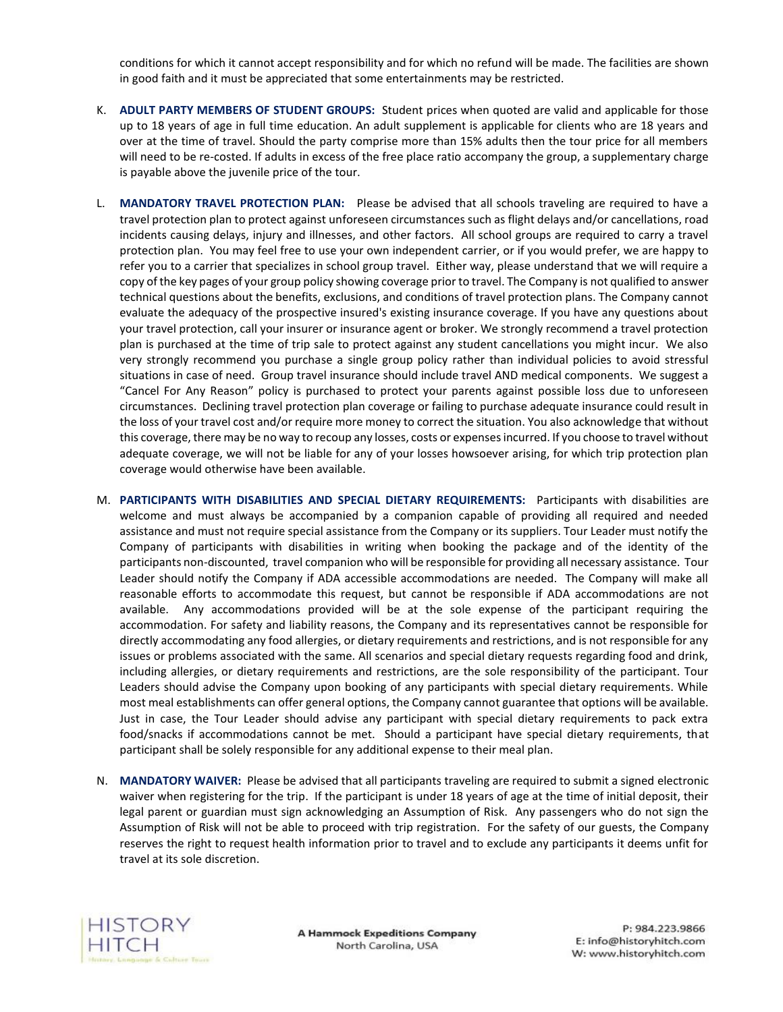conditions for which it cannot accept responsibility and for which no refund will be made. The facilities are shown in good faith and it must be appreciated that some entertainments may be restricted.

- K. **ADULT PARTY MEMBERS OF STUDENT GROUPS:** Student prices when quoted are valid and applicable for those up to 18 years of age in full time education. An adult supplement is applicable for clients who are 18 years and over at the time of travel. Should the party comprise more than 15% adults then the tour price for all members will need to be re-costed. If adults in excess of the free place ratio accompany the group, a supplementary charge is payable above the juvenile price of the tour.
- L. **MANDATORY TRAVEL PROTECTION PLAN:** Please be advised that all schools traveling are required to have a travel protection plan to protect against unforeseen circumstances such as flight delays and/or cancellations, road incidents causing delays, injury and illnesses, and other factors. All school groups are required to carry a travel protection plan. You may feel free to use your own independent carrier, or if you would prefer, we are happy to refer you to a carrier that specializes in school group travel. Either way, please understand that we will require a copy of the key pages of your group policy showing coverage prior to travel. The Company is not qualified to answer technical questions about the benefits, exclusions, and conditions of travel protection plans. The Company cannot evaluate the adequacy of the prospective insured's existing insurance coverage. If you have any questions about your travel protection, call your insurer or insurance agent or broker. We strongly recommend a travel protection plan is purchased at the time of trip sale to protect against any student cancellations you might incur. We also very strongly recommend you purchase a single group policy rather than individual policies to avoid stressful situations in case of need. Group travel insurance should include travel AND medical components. We suggest a "Cancel For Any Reason" policy is purchased to protect your parents against possible loss due to unforeseen circumstances. Declining travel protection plan coverage or failing to purchase adequate insurance could result in the loss of your travel cost and/or require more money to correct the situation. You also acknowledge that without this coverage, there may be no way to recoup any losses, costs or expenses incurred. If you choose to travel without adequate coverage, we will not be liable for any of your losses howsoever arising, for which trip protection plan coverage would otherwise have been available.
- M. **PARTICIPANTS WITH DISABILITIES AND SPECIAL DIETARY REQUIREMENTS:** Participants with disabilities are welcome and must always be accompanied by a companion capable of providing all required and needed assistance and must not require special assistance from the Company or its suppliers. Tour Leader must notify the Company of participants with disabilities in writing when booking the package and of the identity of the participants non-discounted, travel companion who will be responsible for providing all necessary assistance. Tour Leader should notify the Company if ADA accessible accommodations are needed. The Company will make all reasonable efforts to accommodate this request, but cannot be responsible if ADA accommodations are not available. Any accommodations provided will be at the sole expense of the participant requiring the accommodation. For safety and liability reasons, the Company and its representatives cannot be responsible for directly accommodating any food allergies, or dietary requirements and restrictions, and is not responsible for any issues or problems associated with the same. All scenarios and special dietary requests regarding food and drink, including allergies, or dietary requirements and restrictions, are the sole responsibility of the participant. Tour Leaders should advise the Company upon booking of any participants with special dietary requirements. While most meal establishments can offer general options, the Company cannot guarantee that options will be available. Just in case, the Tour Leader should advise any participant with special dietary requirements to pack extra food/snacks if accommodations cannot be met. Should a participant have special dietary requirements, that participant shall be solely responsible for any additional expense to their meal plan.
- N. **MANDATORY WAIVER:** Please be advised that all participants traveling are required to submit a signed electronic waiver when registering for the trip. If the participant is under 18 years of age at the time of initial deposit, their legal parent or guardian must sign acknowledging an Assumption of Risk. Any passengers who do not sign the Assumption of Risk will not be able to proceed with trip registration. For the safety of our guests, the Company reserves the right to request health information prior to travel and to exclude any participants it deems unfit for travel at its sole discretion.



**A Hammock Expeditions Company** North Carolina, USA